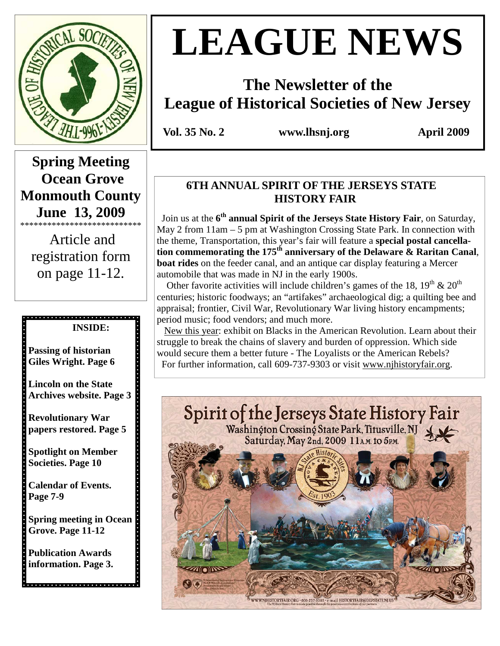

# **LEAGUE NEWS**

## **The Newsletter of the League of Historical Societies of New Jersey**

 **Vol. 35 No. 2 www.lhsnj.org April 2009** 

## **Spring Meeting Ocean Grove Monmouth County June 13, 2009**

\*\*\*\*\*\*\*\*\*\*\*\*\*\*\*\*\*\*\*\*\*\*\*\*\*\*\* Article and registration form on page 11-12.

#### **INSIDE:**

**Passing of historian Giles Wright. Page 6** 

**Lincoln on the State Archives website. Page 3** 

**Revolutionary War papers restored. Page 5** 

**Spotlight on Member Societies. Page 10** 

**Calendar of Events. Page 7-9** 

**Spring meeting in Ocean Grove. Page 11-12** 

**Publication Awards information. Page 3.** 

## **6TH ANNUAL SPIRIT OF THE JERSEYS STATE HISTORY FAIR**

 Join us at the **6 th annual Spirit of the Jerseys State History Fair**, on Saturday, May 2 from 11am – 5 pm at Washington Crossing State Park. In connection with the theme, Transportation, this year's fair will feature a **special postal cancellation commemorating the 175th anniversary of the Delaware & Raritan Canal**, **boat rides** on the feeder canal, and an antique car display featuring a Mercer automobile that was made in NJ in the early 1900s.

Other favorite activities will include children's games of the 18,  $19<sup>th</sup>$  &  $20<sup>th</sup>$ centuries; historic foodways; an "artifakes" archaeological dig; a quilting bee and appraisal; frontier, Civil War, Revolutionary War living history encampments; period music; food vendors; and much more.

 New this year: exhibit on Blacks in the American Revolution. Learn about their struggle to break the chains of slavery and burden of oppression. Which side would secure them a better future - The Loyalists or the American Rebels? For further information, call 609-737-9303 or visit www.njhistoryfair.org.

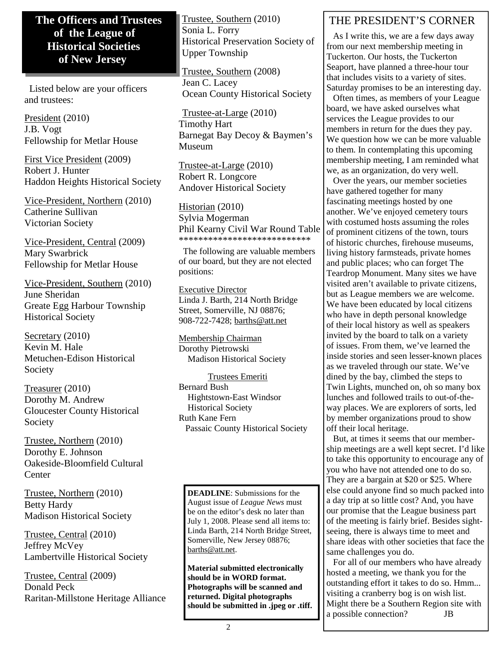#### **The Officers and Trustees of the League of Historical Societies of New Jersey**

 Listed below are your officers and trustees:

President (2010) J.B. Vogt Fellowship for Metlar House

First Vice President (2009) Robert J. Hunter Haddon Heights Historical Society

Vice-President, Northern (2010) Catherine Sullivan Victorian Society

Vice-President, Central (2009) Mary Swarbrick Fellowship for Metlar House

Vice-President, Southern (2010) June Sheridan Greate Egg Harbour Township Historical Society

Secretary (2010) Kevin M. Hale Metuchen-Edison Historical Society

Treasurer (2010) Dorothy M. Andrew Gloucester County Historical Society

Trustee, Northern (2010) Dorothy E. Johnson Oakeside-Bloomfield Cultural Center

Trustee, Northern (2010) Betty Hardy Madison Historical Society

Trustee, Central (2010) Jeffrey McVey Lambertville Historical Society

Trustee, Central (2009) Donald Peck Raritan-Millstone Heritage Alliance Trustee, Southern (2010) Sonia L. Forry Historical Preservation Society of Upper Township

Trustee, Southern (2008) Jean C. Lacey Ocean County Historical Society

Trustee-at-Large (2010) Timothy Hart Barnegat Bay Decoy & Baymen's Museum

Trustee-at-Large (2010) Robert R. Longcore Andover Historical Society

Historian (2010) Sylvia Mogerman Phil Kearny Civil War Round Table \*\*\*\*\*\*\*\*\*\*\*\*\*\*\*\*\*\*\*\*\*\*\*\*\*\*\*

 The following are valuable members of our board, but they are not elected positions:

Executive Director Linda J. Barth, 214 North Bridge Street, Somerville, NJ 08876; 908-722-7428; barths@att.net

Membership Chairman Dorothy Pietrowski Madison Historical Society

 Trustees Emeriti Bernard Bush Hightstown-East Windsor Historical Society Ruth Kane Fern Passaic County Historical Society

**DEADLINE**: Submissions for the August issue of *League News* must be on the editor's desk no later than July 1, 2008. Please send all items to: Linda Barth, 214 North Bridge Street, Somerville, New Jersey 08876; barths@att.net.

**Material submitted electronically should be in WORD format. Photographs will be scanned and returned. Digital photographs should be submitted in .jpeg or .tiff.** 

### THE PRESIDENT'S CORNER

 As I write this, we are a few days away from our next membership meeting in Tuckerton. Our hosts, the Tuckerton Seaport, have planned a three-hour tour that includes visits to a variety of sites. Saturday promises to be an interesting day.

 Often times, as members of your League board, we have asked ourselves what services the League provides to our members in return for the dues they pay. We question how we can be more valuable to them. In contemplating this upcoming membership meeting, I am reminded what we, as an organization, do very well.

 Over the years, our member societies have gathered together for many fascinating meetings hosted by one another. We've enjoyed cemetery tours with costumed hosts assuming the roles of prominent citizens of the town, tours of historic churches, firehouse museums, living history farmsteads, private homes and public places; who can forget The Teardrop Monument. Many sites we have visited aren't available to private citizens, but as League members we are welcome. We have been educated by local citizens who have in depth personal knowledge of their local history as well as speakers invited by the board to talk on a variety of issues. From them, we've learned the inside stories and seen lesser-known places as we traveled through our state. We've dined by the bay, climbed the steps to Twin Lights, munched on, oh so many box lunches and followed trails to out-of-theway places. We are explorers of sorts, led by member organizations proud to show off their local heritage.

 But, at times it seems that our membership meetings are a well kept secret. I'd like to take this opportunity to encourage any of you who have not attended one to do so. They are a bargain at \$20 or \$25. Where else could anyone find so much packed into a day trip at so little cost? And, you have our promise that the League business part of the meeting is fairly brief. Besides sightseeing, there is always time to meet and share ideas with other societies that face the same challenges you do.

 For all of our members who have already hosted a meeting, we thank you for the outstanding effort it takes to do so. Hmm... visiting a cranberry bog is on wish list. Might there be a Southern Region site with a possible connection? JB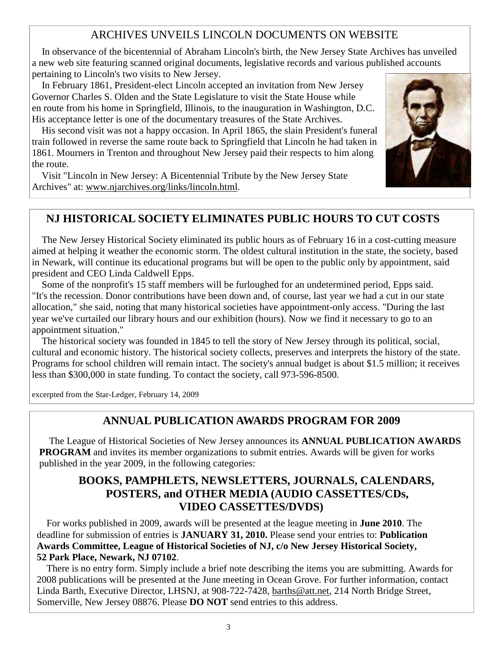#### ARCHIVES UNVEILS LINCOLN DOCUMENTS ON WEBSITE

 In observance of the bicentennial of Abraham Lincoln's birth, the New Jersey State Archives has unveiled a new web site featuring scanned original documents, legislative records and various published accounts pertaining to Lincoln's two visits to New Jersey.

 In February 1861, President-elect Lincoln accepted an invitation from New Jersey Governor Charles S. Olden and the State Legislature to visit the State House while en route from his home in Springfield, Illinois, to the inauguration in Washington, D.C. His acceptance letter is one of the documentary treasures of the State Archives.

 His second visit was not a happy occasion. In April 1865, the slain President's funeral train followed in reverse the same route back to Springfield that Lincoln he had taken in 1861. Mourners in Trenton and throughout New Jersey paid their respects to him along the route.

 Visit "Lincoln in New Jersey: A Bicentennial Tribute by the New Jersey State Archives" at: www.njarchives.org/links/lincoln.html.



#### **NJ HISTORICAL SOCIETY ELIMINATES PUBLIC HOURS TO CUT COSTS**

 The New Jersey Historical Society eliminated its public hours as of February 16 in a cost-cutting measure aimed at helping it weather the economic storm. The oldest cultural institution in the state, the society, based in Newark, will continue its educational programs but will be open to the public only by appointment, said president and CEO Linda Caldwell Epps.

 Some of the nonprofit's 15 staff members will be furloughed for an undetermined period, Epps said. "It's the recession. Donor contributions have been down and, of course, last year we had a cut in our state allocation," she said, noting that many historical societies have appointment-only access. "During the last year we've curtailed our library hours and our exhibition (hours). Now we find it necessary to go to an appointment situation."

 The historical society was founded in 1845 to tell the story of New Jersey through its political, social, cultural and economic history. The historical society collects, preserves and interprets the history of the state. Programs for school children will remain intact. The society's annual budget is about \$1.5 million; it receives less than \$300,000 in state funding. To contact the society, call 973-596-8500.

excerpted from the Star-Ledger, February 14, 2009

#### **ANNUAL PUBLICATION AWARDS PROGRAM FOR 2009**

 The League of Historical Societies of New Jersey announces its **ANNUAL PUBLICATION AWARDS PROGRAM** and invites its member organizations to submit entries. Awards will be given for works published in the year 2009, in the following categories:

#### **BOOKS, PAMPHLETS, NEWSLETTERS, JOURNALS, CALENDARS, POSTERS, and OTHER MEDIA (AUDIO CASSETTES/CDs, VIDEO CASSETTES/DVDS)**

 For works published in 2009, awards will be presented at the league meeting in **June 2010**. The deadline for submission of entries is **JANUARY 31, 2010.** Please send your entries to: **Publication Awards Committee, League of Historical Societies of NJ, c/o New Jersey Historical Society, 52 Park Place, Newark, NJ 07102**.

 There is no entry form. Simply include a brief note describing the items you are submitting. Awards for 2008 publications will be presented at the June meeting in Ocean Grove. For further information, contact Linda Barth, Executive Director, LHSNJ, at 908-722-7428, barths@att.net, 214 North Bridge Street, Somerville, New Jersey 08876. Please **DO NOT** send entries to this address.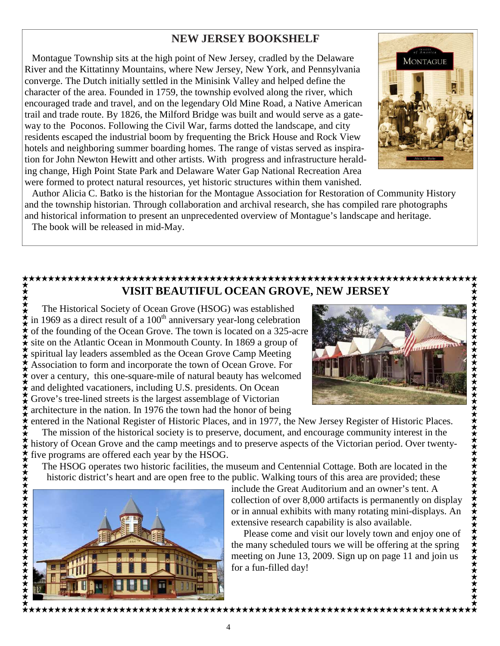#### **NEW JERSEY BOOKSHELF**

 Montague Township sits at the high point of New Jersey, cradled by the Delaware River and the Kittatinny Mountains, where New Jersey, New York, and Pennsylvania converge. The Dutch initially settled in the Minisink Valley and helped define the character of the area. Founded in 1759, the township evolved along the river, which encouraged trade and travel, and on the legendary Old Mine Road, a Native American trail and trade route. By 1826, the Milford Bridge was built and would serve as a gateway to the Poconos. Following the Civil War, farms dotted the landscape, and city residents escaped the industrial boom by frequenting the Brick House and Rock View hotels and neighboring summer boarding homes. The range of vistas served as inspiration for John Newton Hewitt and other artists. With progress and infrastructure heralding change, High Point State Park and Delaware Water Gap National Recreation Area were formed to protect natural resources, yet historic structures within them vanished.



 Author Alicia C. Batko is the historian for the Montague Association for Restoration of Community History and the township historian. Through collaboration and archival research, she has compiled rare photographs and historical information to present an unprecedented overview of Montague's landscape and heritage. The book will be released in mid-May.

#### **VISIT BEAUTIFUL OCEAN GROVE, NEW JERSEY**

The Historical Society of Ocean Grove (HSOG) was established in 1969 as a direct result of a 100<sup>th</sup> anniversary year-long celebration of the founding of the Ocean Grove. The town is located on a 325-acre site on the Atlantic Ocean in Monmouth County. In 1869 a group of spiritual lay leaders assembled as the Ocean Grove Camp Meeting Association to form and incorporate the town of Ocean Grove. For over a century, this one-square-mile of natural beauty has welcomed and delighted vacationers, including U.S. presidents. On Ocean Grove's tree-lined streets is the largest assemblage of Victorian architecture in the nation. In 1976 the town had the honor of being



entered in the National Register of Historic Places, and in 1977, the New Jersey Register of Historic Places. The mission of the historical society is to preserve, document, and encourage community interest in the history of Ocean Grove and the camp meetings and to preserve aspects of the Victorian period. Over twentyfive programs are offered each year by the HSOG.

The HSOG operates two historic facilities, the museum and Centennial Cottage. Both are located in the historic district's heart and are open free to the public. Walking tours of this area are provided; these



 include the Great Auditorium and an owner's tent. A collection of over 8,000 artifacts is permanently on display or in annual exhibits with many rotating mini-displays. An extensive research capability is also available.

 Please come and visit our lovely town and enjoy one of the many scheduled tours we will be offering at the spring meeting on June 13, 2009. Sign up on page 11 and join us for a fun-filled day!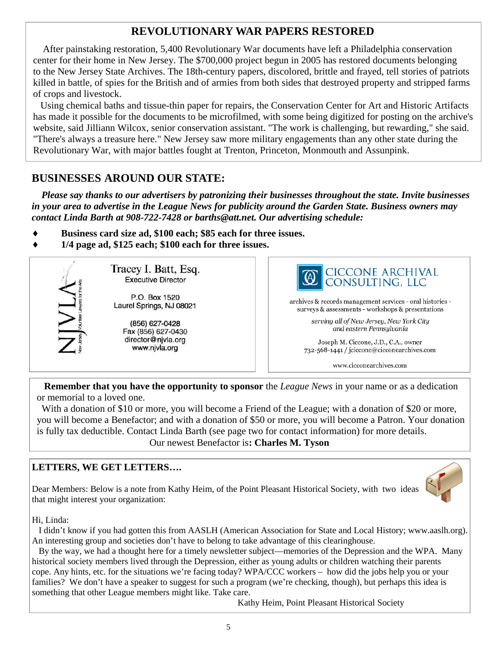#### **REVOLUTIONARY WAR PAPERS RESTORED**

 After painstaking restoration, 5,400 Revolutionary War documents have left a Philadelphia conservation center for their home in New Jersey. The \$700,000 project begun in 2005 has restored documents belonging to the New Jersey State Archives. The 18th-century papers, discolored, brittle and frayed, tell stories of patriots killed in battle, of spies for the British and of armies from both sides that destroyed property and stripped farms of crops and livestock.

 Using chemical baths and tissue-thin paper for repairs, the Conservation Center for Art and Historic Artifacts has made it possible for the documents to be microfilmed, with some being digitized for posting on the archive's website, said Jilliann Wilcox, senior conservation assistant. "The work is challenging, but rewarding," she said. "There's always a treasure here." New Jersey saw more military engagements than any other state during the Revolutionary War, with major battles fought at Trenton, Princeton, Monmouth and Assunpink.

#### **BUSINESSES AROUND OUR STATE:**

 *Please say thanks to our advertisers by patronizing their businesses throughout the state. Invite businesses in your area to advertise in the League News for publicity around the Garden State. Business owners may contact Linda Barth at 908-722-7428 or barths@att.net. Our advertising schedule:* 

- Business card size ad, \$100 each; \$85 each for three issues.
- ♦ **1/4 page ad, \$125 each; \$100 each for three issues.**



Tracey I. Batt, Esq. **Executive Director** 

P.O. Box 1520 Laurel Springs, NJ 08021

> (856) 627-0428 Fax (856) 627-0430 director@njvla.org www.njvla.org



archives & records management services - oral histories surveys & assessments - workshops & presentations

> serving all of New Jersey, New York City and eastern Pennsylvania

Joseph M. Ciccone, J.D., C.A., owner 732-568-1441 / jciccone@cicconearchives.com

www.cicconearchives.com

**Remember that you have the opportunity to sponsor** the *League News* in your name or as a dedication or memorial to a loved one.

 With a donation of \$10 or more, you will become a Friend of the League; with a donation of \$20 or more, you will become a Benefactor; and with a donation of \$50 or more, you will become a Patron. Your donation is fully tax deductible. Contact Linda Barth (see page two for contact information) for more details. Our newest Benefactor is**: Charles M. Tyson** 

#### **LETTERS, WE GET LETTERS….**

Dear Members: Below is a note from Kathy Heim, of the Point Pleasant Historical Society, with two ideas that might interest your organization:



Hi, Linda:

 I didn't know if you had gotten this from AASLH (American Association for State and Local History; www.aaslh.org). An interesting group and societies don't have to belong to take advantage of this clearinghouse.

 By the way, we had a thought here for a timely newsletter subject—memories of the Depression and the WPA. Many historical society members lived through the Depression, either as young adults or children watching their parents cope. Any hints, etc. for the situations we're facing today? WPA/CCC workers – how did the jobs help you or your families? We don't have a speaker to suggest for such a program (we're checking, though), but perhaps this idea is something that other League members might like. Take care.

Kathy Heim, Point Pleasant Historical Society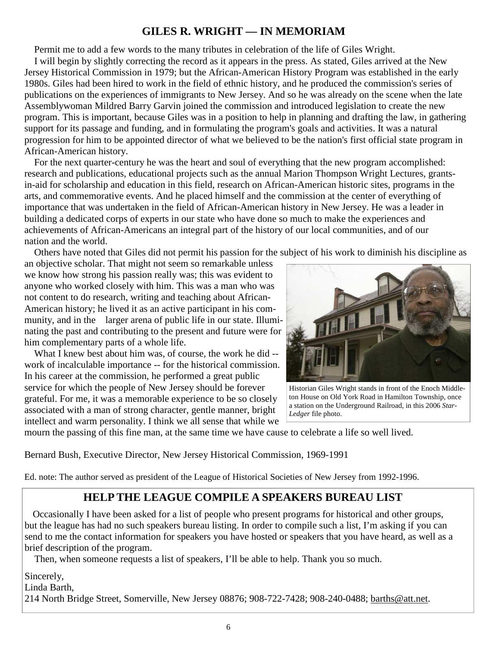#### **GILES R. WRIGHT — IN MEMORIAM**

Permit me to add a few words to the many tributes in celebration of the life of Giles Wright.

 I will begin by slightly correcting the record as it appears in the press. As stated, Giles arrived at the New Jersey Historical Commission in 1979; but the African-American History Program was established in the early 1980s. Giles had been hired to work in the field of ethnic history, and he produced the commission's series of publications on the experiences of immigrants to New Jersey. And so he was already on the scene when the late Assemblywoman Mildred Barry Garvin joined the commission and introduced legislation to create the new program. This is important, because Giles was in a position to help in planning and drafting the law, in gathering support for its passage and funding, and in formulating the program's goals and activities. It was a natural progression for him to be appointed director of what we believed to be the nation's first official state program in African-American history.

 For the next quarter-century he was the heart and soul of everything that the new program accomplished: research and publications, educational projects such as the annual Marion Thompson Wright Lectures, grantsin-aid for scholarship and education in this field, research on African-American historic sites, programs in the arts, and commemorative events. And he placed himself and the commission at the center of everything of importance that was undertaken in the field of African-American history in New Jersey. He was a leader in building a dedicated corps of experts in our state who have done so much to make the experiences and achievements of African-Americans an integral part of the history of our local communities, and of our nation and the world.

Others have noted that Giles did not permit his passion for the subject of his work to diminish his discipline as

an objective scholar. That might not seem so remarkable unless we know how strong his passion really was; this was evident to anyone who worked closely with him. This was a man who was not content to do research, writing and teaching about African-American history; he lived it as an active participant in his community, and in the larger arena of public life in our state. Illuminating the past and contributing to the present and future were for him complementary parts of a whole life.

 What I knew best about him was, of course, the work he did - work of incalculable importance -- for the historical commission. In his career at the commission, he performed a great public service for which the people of New Jersey should be forever grateful. For me, it was a memorable experience to be so closely associated with a man of strong character, gentle manner, bright intellect and warm personality. I think we all sense that while we



Historian Giles Wright stands in front of the Enoch Middleton House on Old York Road in Hamilton Township, once a station on the Underground Railroad, in this 2006 *Star-Ledger* file photo.

mourn the passing of this fine man, at the same time we have cause to celebrate a life so well lived.

Bernard Bush, Executive Director, New Jersey Historical Commission, 1969-1991

Ed. note: The author served as president of the League of Historical Societies of New Jersey from 1992-1996.

#### **HELP THE LEAGUE COMPILE A SPEAKERS BUREAU LIST**

 Occasionally I have been asked for a list of people who present programs for historical and other groups, but the league has had no such speakers bureau listing. In order to compile such a list, I'm asking if you can send to me the contact information for speakers you have hosted or speakers that you have heard, as well as a brief description of the program.

Then, when someone requests a list of speakers, I'll be able to help. Thank you so much.

Sincerely,

Linda Barth,

214 North Bridge Street, Somerville, New Jersey 08876; 908-722-7428; 908-240-0488; barths@att.net.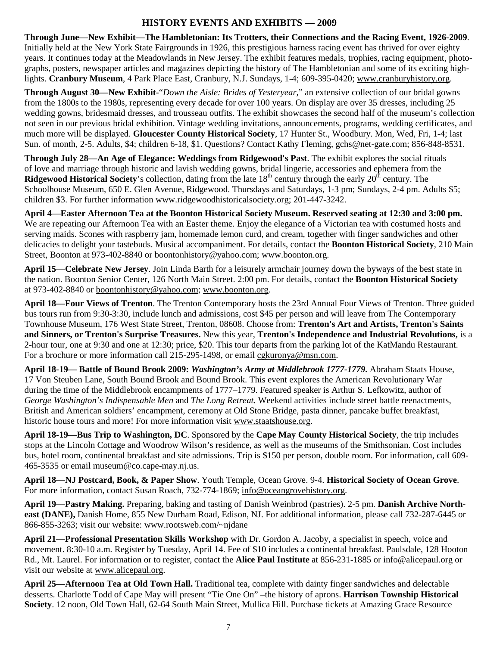#### **HISTORY EVENTS AND EXHIBITS — 2009**

**Through June—New Exhibit—The Hambletonian: Its Trotters, their Connections and the Racing Event, 1926-2009**. Initially held at the New York State Fairgrounds in 1926, this prestigious harness racing event has thrived for over eighty years. It continues today at the Meadowlands in New Jersey. The exhibit features medals, trophies, racing equipment, photographs, posters, newspaper articles and magazines depicting the history of The Hambletonian and some of its exciting highlights. **Cranbury Museum**, 4 Park Place East, Cranbury, N.J. Sundays, 1-4; 609-395-0420; www.cranburyhistory.org.

**Through August 30—New Exhibit-**"*Down the Aisle: Brides of Yesteryear,*" an extensive collection of our bridal gowns from the 1800s to the 1980s, representing every decade for over 100 years. On display are over 35 dresses, including 25 wedding gowns, bridesmaid dresses, and trousseau outfits. The exhibit showcases the second half of the museum's collection not seen in our previous bridal exhibition. Vintage wedding invitations, announcements, programs, wedding certificates, and much more will be displayed. **Gloucester County Historical Society**, 17 Hunter St., Woodbury. Mon, Wed, Fri, 1-4; last Sun. of month, 2-5. Adults, \$4; children 6-18, \$1. Questions? Contact Kathy Fleming, gchs@net-gate.com; 856-848-8531.

**Through July 28—An Age of Elegance: Weddings from Ridgewood's Past**. The exhibit explores the social rituals of love and marriage through historic and lavish wedding gowns, bridal lingerie, accessories and ephemera from the **Ridgewood Historical Society**'s collection, dating from the late  $18<sup>th</sup>$  century through the early  $20<sup>th</sup>$  century. The Schoolhouse Museum, 650 E. Glen Avenue, Ridgewood. Thursdays and Saturdays, 1-3 pm; Sundays, 2-4 pm. Adults \$5; children \$3. For further information www.ridgewoodhistoricalsociety.org; 201-447-3242.

**April 4**—**Easter Afternoon Tea at the Boonton Historical Society Museum. Reserved seating at 12:30 and 3:00 pm.**  We are repeating our Afternoon Tea with an Easter theme. Enjoy the elegance of a Victorian tea with costumed hosts and serving maids. Scones with raspberry jam, homemade lemon curd, and cream, together with finger sandwiches and other delicacies to delight your tastebuds. Musical accompaniment. For details, contact the **Boonton Historical Society**, 210 Main Street, Boonton at 973-402-8840 or boontonhistory@yahoo.com; www.boonton.org.

**April 15**—**Celebrate New Jersey**. Join Linda Barth for a leisurely armchair journey down the byways of the best state in the nation. Boonton Senior Center, 126 North Main Street. 2:00 pm. For details, contact the **Boonton Historical Society**  at 973-402-8840 or boontonhistory@yahoo.com; www.boonton.org.

**April 18—Four Views of Trenton**. The Trenton Contemporary hosts the 23rd Annual Four Views of Trenton. Three guided bus tours run from 9:30-3:30, include lunch and admissions, cost \$45 per person and will leave from The Contemporary Townhouse Museum, 176 West State Street, Trenton, 08608. Choose from: **Trenton's Art and Artists, Trenton's Saints and Sinners, or Trenton's Surprise Treasures.** New this year, **Trenton's Independence and Industrial Revolutions,** is a 2-hour tour, one at 9:30 and one at 12:30; price, \$20. This tour departs from the parking lot of the KatMandu Restaurant. For a brochure or more information call 215-295-1498, or email cgkuronya@msn.com.

**April 18-19— Battle of Bound Brook 2009:** *Washington's Army at Middlebrook 1777-1779***.** Abraham Staats House, 17 Von Steuben Lane, South Bound Brook and Bound Brook. This event explores the American Revolutionary War during the time of the Middlebrook encampments of 1777–1779. Featured speaker is Arthur S. Lefkowitz, author of *George Washington's Indispensable Men* and *The Long Retreat.* Weekend activities include street battle reenactments, British and American soldiers' encampment, ceremony at Old Stone Bridge, pasta dinner, pancake buffet breakfast, historic house tours and more! For more information visit www.staatshouse.org.

**April 18-19—Bus Trip to Washington, DC**. Sponsored by the **Cape May County Historical Society**, the trip includes stops at the Lincoln Cottage and Woodrow Wilson's residence, as well as the museums of the Smithsonian. Cost includes bus, hotel room, continental breakfast and site admissions. Trip is \$150 per person, double room. For information, call 609- 465-3535 or email museum@co.cape-may.nj.us.

**April 18—NJ Postcard, Book, & Paper Show**. Youth Temple, Ocean Grove. 9-4. **Historical Society of Ocean Grove**. For more information, contact Susan Roach, 732-774-1869; info@oceangrovehistory.org.

**April 19—Pastry Making.** Preparing, baking and tasting of Danish Weinbrod (pastries). 2-5 pm. **Danish Archive Northeast (DANE),** Danish Home, 855 New Durham Road, Edison, NJ. For additional information, please call 732-287-6445 or 866-855-3263; visit our website: www.rootsweb.com/~njdane

**April 21—Professional Presentation Skills Workshop** with Dr. Gordon A. Jacoby, a specialist in speech, voice and movement. 8:30-10 a.m. Register by Tuesday, April 14. Fee of \$10 includes a continental breakfast. Paulsdale, 128 Hooton Rd., Mt. Laurel. For information or to register, contact the **Alice Paul Institute** at 856-231-1885 or info@alicepaul.org or visit our website at www.alicepaul.org.

**April 25—Afternoon Tea at Old Town Hall.** Traditional tea, complete with dainty finger sandwiches and delectable desserts. Charlotte Todd of Cape May will present "Tie One On" –the history of aprons. **Harrison Township Historical Society**. 12 noon, Old Town Hall, 62-64 South Main Street, Mullica Hill. Purchase tickets at Amazing Grace Resource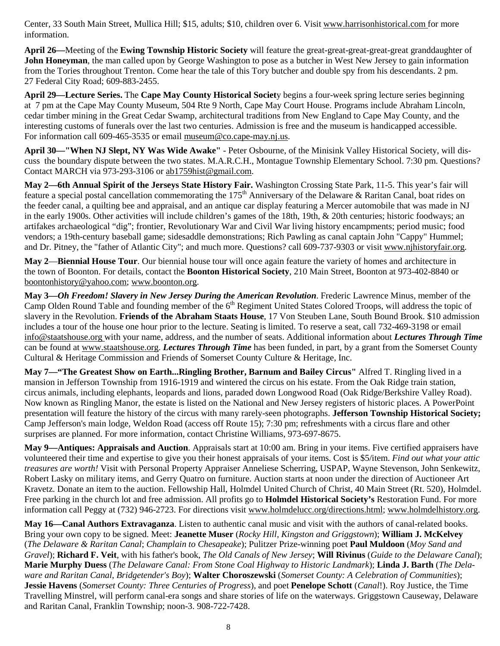Center, 33 South Main Street, Mullica Hill; \$15, adults; \$10, children over 6. Visit www.harrisonhistorical.com for more information.

**April 26—**Meeting of the **Ewing Township Historic Society** will feature the great-great-great-great-great granddaughter of **John Honeyman**, the man called upon by George Washington to pose as a butcher in West New Jersey to gain information from the Tories throughout Trenton. Come hear the tale of this Tory butcher and double spy from his descendants. 2 pm. 27 Federal City Road; 609-883-2455.

**April 29—Lecture Series.** The **Cape May County Historical Societ**y begins a four-week spring lecture series beginning at 7 pm at the Cape May County Museum, 504 Rte 9 North, Cape May Court House. Programs include Abraham Lincoln, cedar timber mining in the Great Cedar Swamp, architectural traditions from New England to Cape May County, and the interesting customs of funerals over the last two centuries. Admission is free and the museum is handicapped accessible. For information call 609-465-3535 or email museum@co.cape-may.nj.us.

**April 30—"When NJ Slept, NY Was Wide Awake"** - Peter Osbourne, of the Minisink Valley Historical Society, will discuss the boundary dispute between the two states. M.A.R.C.H., Montague Township Elementary School. 7:30 pm. Questions? Contact MARCH via 973-293-3106 or ab1759hist@gmail.com.

**May 2—6th Annual Spirit of the Jerseys State History Fair.** Washington Crossing State Park, 11-5. This year's fair will feature a special postal cancellation commemorating the 175<sup>th</sup> Anniversary of the Delaware & Raritan Canal, boat rides on the feeder canal, a quilting bee and appraisal, and an antique car display featuring a Mercer automobile that was made in NJ in the early 1900s. Other activities will include children's games of the 18th, 19th, & 20th centuries; historic foodways; an artifakes archaeological "dig"; frontier, Revolutionary War and Civil War living history encampments; period music; food vendors; a 19th-century baseball game; sidesaddle demonstrations; Rich Pawling as canal captain John "Cappy" Hummel; and Dr. Pitney, the "father of Atlantic City"; and much more. Questions? call 609-737-9303 or visit www.njhistoryfair.org.

**May 2**—**Biennial House Tour**. Our biennial house tour will once again feature the variety of homes and architecture in the town of Boonton. For details, contact the **Boonton Historical Society**, 210 Main Street, Boonton at 973-402-8840 or boontonhistory@yahoo.com; www.boonton.org.

**May 3—***Oh Freedom! Slavery in New Jersey During the American Revolution*. Frederic Lawrence Minus, member of the Camp Olden Round Table and founding member of the 6<sup>th</sup> Regiment United States Colored Troops, will address the topic of slavery in the Revolution. **Friends of the Abraham Staats House**, 17 Von Steuben Lane, South Bound Brook. \$10 admission includes a tour of the house one hour prior to the lecture. Seating is limited. To reserve a seat, call 732-469-3198 or email info@staatshouse.org with your name, address, and the number of seats. Additional information about *Lectures Through Time* can be found at www.staatshouse.org. *Lectures Through Time* has been funded, in part, by a grant from the Somerset County Cultural & Heritage Commission and Friends of Somerset County Culture & Heritage, Inc.

**May 7—"The Greatest Show on Earth...Ringling Brother, Barnum and Bailey Circus"** Alfred T. Ringling lived in a mansion in Jefferson Township from 1916-1919 and wintered the circus on his estate. From the Oak Ridge train station, circus animals, including elephants, leopards and lions, paraded down Longwood Road (Oak Ridge/Berkshire Valley Road). Now known as Ringling Manor, the estate is listed on the National and New Jersey registers of historic places. A PowerPoint presentation will feature the history of the circus with many rarely-seen photographs. **Jefferson Township Historical Society;**  Camp Jefferson's main lodge, Weldon Road (access off Route 15); 7:30 pm; refreshments with a circus flare and other surprises are planned. For more information, contact Christine Williams, 973-697-8675.

**May 9—Antiques: Appraisals and Auction**. Appraisals start at 10:00 am. Bring in your items. Five certified appraisers have volunteered their time and expertise to give you their honest appraisals of your items. Cost is \$5/item. *Find out what your attic treasures are worth!* Visit with Personal Property Appraiser Anneliese Scherring, USPAP, Wayne Stevenson, John Senkewitz, Robert Lasky on military items, and Gerry Quatro on furniture. Auction starts at noon under the direction of Auctioneer Art Kravetz. Donate an item to the auction. Fellowship Hall, Holmdel United Church of Christ, 40 Main Street (Rt. 520), Holmdel. Free parking in the church lot and free admission. All profits go to **Holmdel Historical Society's** Restoration Fund. For more information call Peggy at (732) 946-2723. For directions visit www.holmdelucc.org/directions.html; www.holmdelhistory.org.

**May 16—Canal Authors Extravaganza**. Listen to authentic canal music and visit with the authors of canal-related books. Bring your own copy to be signed. Meet: **Jeanette Muser** (*Rocky Hill, Kingston and Griggstown*); **William J. McKelvey**  (*The Delaware & Raritan Canal*; *Champlain to Chesapeake*); Pulitzer Prize-winning poet **Paul Muldoon** (*Moy Sand and Gravel*); **Richard F. Veit**, with his father's book, *The Old Canals of New Jersey*; **Will Rivinus** (*Guide to the Delaware Canal*); **Marie Murphy Duess** (*The Delaware Canal: From Stone Coal Highway to Historic Landmark*); **Linda J. Barth** (*The Delaware and Raritan Canal*, *Bridgetender's Boy*); **Walter Choroszewski** (*Somerset County: A Celebration of Communities*); **Jessie Havens** (*Somerset County: Three Centuries of Progress*), and poet **Penelope Schott** (*Canal*!). Roy Justice, the Time Travelling Minstrel, will perform canal-era songs and share stories of life on the waterways. Griggstown Causeway, Delaware and Raritan Canal, Franklin Township; noon-3. 908-722-7428.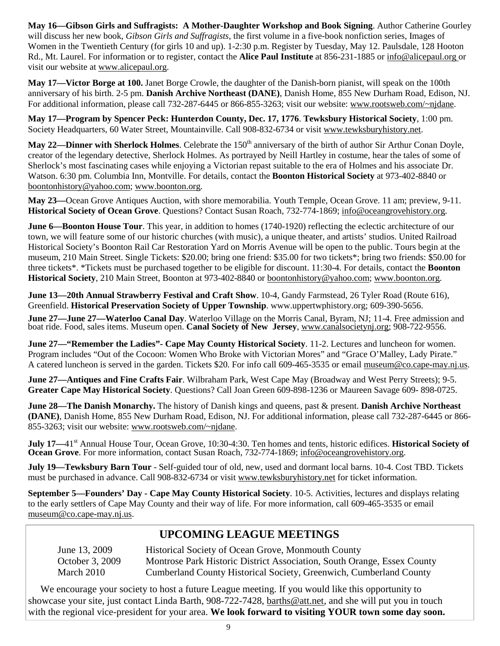**May 16—Gibson Girls and Suffragists: A Mother-Daughter Workshop and Book Signing**. Author Catherine Gourley will discuss her new book, *Gibson Girls and Suffragists*, the first volume in a five-book nonfiction series, Images of Women in the Twentieth Century (for girls 10 and up). 1-2:30 p.m. Register by Tuesday, May 12. Paulsdale, 128 Hooton Rd., Mt. Laurel. For information or to register, contact the **Alice Paul Institute** at 856-231-1885 or info@alicepaul.org or visit our website at www.alicepaul.org.

**May 17—Victor Borge at 100.** Janet Borge Crowle, the daughter of the Danish-born pianist, will speak on the 100th anniversary of his birth. 2-5 pm. **Danish Archive Northeast (DANE)**, Danish Home, 855 New Durham Road, Edison, NJ. For additional information, please call 732-287-6445 or 866-855-3263; visit our website: www.rootsweb.com/~njdane.

**May 17—Program by Spencer Peck: Hunterdon County, Dec. 17, 1776**. **Tewksbury Historical Society**, 1:00 pm. Society Headquarters, 60 Water Street, Mountainville. Call 908-832-6734 or visit www.tewksburyhistory.net.

**May 22—Dinner with Sherlock Holmes**. Celebrate the 150<sup>th</sup> anniversary of the birth of author Sir Arthur Conan Doyle, creator of the legendary detective, Sherlock Holmes. As portrayed by Neill Hartley in costume, hear the tales of some of Sherlock's most fascinating cases while enjoying a Victorian repast suitable to the era of Holmes and his associate Dr. Watson. 6:30 pm. Columbia Inn, Montville. For details, contact the **Boonton Historical Society** at 973-402-8840 or boontonhistory@yahoo.com; www.boonton.org.

**May 23—**Ocean Grove Antiques Auction, with shore memorabilia. Youth Temple, Ocean Grove. 11 am; preview, 9-11. **Historical Society of Ocean Grove**. Questions? Contact Susan Roach, 732-774-1869; info@oceangrovehistory.org.

**June 6—Boonton House Tour**. This year, in addition to homes (1740-1920) reflecting the eclectic architecture of our town, we will feature some of our historic churches (with music), a unique theater, and artists' studios. United Railroad Historical Society's Boonton Rail Car Restoration Yard on Morris Avenue will be open to the public. Tours begin at the museum, 210 Main Street. Single Tickets: \$20.00; bring one friend: \$35.00 for two tickets\*; bring two friends: \$50.00 for three tickets\*. \*Tickets must be purchased together to be eligible for discount. 11:30-4. For details, contact the **Boonton Historical Society**, 210 Main Street, Boonton at 973-402-8840 or boontonhistory@yahoo.com; www.boonton.org.

**June 13—20th Annual Strawberry Festival and Craft Show**. 10-4, Gandy Farmstead, 26 Tyler Road (Route 616), Greenfield. **Historical Preservation Society of Upper Township**. www.uppertwphistory.org; 609-390-5656.

**June 27—June 27—Waterloo Canal Day**. Waterloo Village on the Morris Canal, Byram, NJ; 11-4. Free admission and boat ride. Food, sales items. Museum open. **Canal Society of New Jersey**, www.canalsocietynj.org; 908-722-9556.

**June 27—"Remember the Ladies"- Cape May County Historical Society**. 11-2. Lectures and luncheon for women. Program includes "Out of the Cocoon: Women Who Broke with Victorian Mores" and "Grace O'Malley, Lady Pirate." A catered luncheon is served in the garden. Tickets \$20. For info call 609-465-3535 or email museum@co.cape-may.nj.us.

**June 27—Antiques and Fine Crafts Fair**. Wilbraham Park, West Cape May (Broadway and West Perry Streets); 9-5. **Greater Cape May Historical Society**. Questions? Call Joan Green 609-898-1236 or Maureen Savage 609- 898-0725.

**June 28—The Danish Monarchy.** The history of Danish kings and queens, past & present. **Danish Archive Northeast (DANE)**, Danish Home, 855 New Durham Road, Edison, NJ. For additional information, please call 732-287-6445 or 866- 855-3263; visit our website: www.rootsweb.com/~njdane.

**July 17—41**<sup>st</sup> Annual House Tour, Ocean Grove, 10:30-4:30. Ten homes and tents, historic edifices. **Historical Society of Ocean Grove**. For more information, contact Susan Roach, 732-774-1869; info@oceangrovehistory.org.

**July 19—Tewksbury Barn Tour** - Self-guided tour of old, new, used and dormant local barns. 10-4. Cost TBD. Tickets must be purchased in advance. Call 908-832-6734 or visit www.tewksburyhistory.net for ticket information.

**September 5—Founders' Day - Cape May County Historical Society**. 10-5. Activities, lectures and displays relating to the early settlers of Cape May County and their way of life. For more information, call 609-465-3535 or email museum@co.cape-may.nj.us.

#### **UPCOMING LEAGUE MEETINGS**

 June 13, 2009 Historical Society of Ocean Grove, Monmouth County October 3, 2009 Montrose Park Historic District Association, South Orange, Essex County March 2010 Cumberland County Historical Society, Greenwich, Cumberland County

 We encourage your society to host a future League meeting. If you would like this opportunity to showcase your site, just contact Linda Barth, 908-722-7428, barths@att.net, and she will put you in touch with the regional vice-president for your area. **We look forward to visiting YOUR town some day soon.**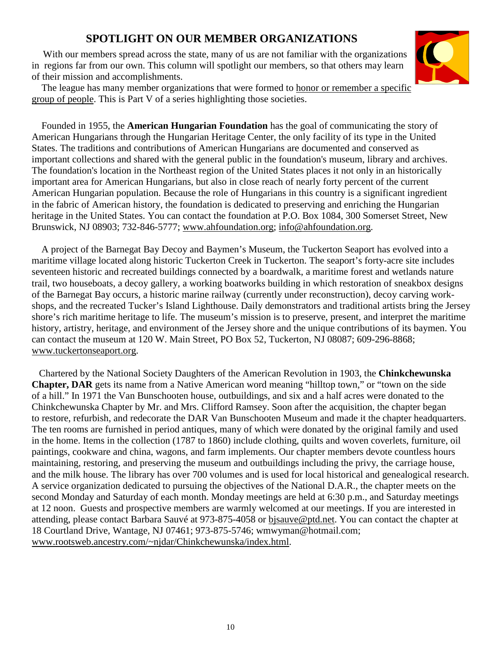#### **SPOTLIGHT ON OUR MEMBER ORGANIZATIONS**

With our members spread across the state, many of us are not familiar with the organizations in regions far from our own. This column will spotlight our members, so that others may learn of their mission and accomplishments.

The league has many member organizations that were formed to **honor or remember a specific** group of people. This is Part V of a series highlighting those societies.



 Founded in 1955, the **American Hungarian Foundation** has the goal of communicating the story of American Hungarians through the Hungarian Heritage Center, the only facility of its type in the United States. The traditions and contributions of American Hungarians are documented and conserved as important collections and shared with the general public in the foundation's museum, library and archives. The foundation's location in the Northeast region of the United States places it not only in an historically important area for American Hungarians, but also in close reach of nearly forty percent of the current American Hungarian population. Because the role of Hungarians in this country is a significant ingredient in the fabric of American history, the foundation is dedicated to preserving and enriching the Hungarian heritage in the United States. You can contact the foundation at P.O. Box 1084, 300 Somerset Street, New Brunswick, NJ 08903; 732-846-5777; www.ahfoundation.org; info@ahfoundation.org.

 A project of the Barnegat Bay Decoy and Baymen's Museum, the Tuckerton Seaport has evolved into a maritime village located along historic Tuckerton Creek in Tuckerton. The seaport's forty-acre site includes seventeen historic and recreated buildings connected by a boardwalk, a maritime forest and wetlands nature trail, two houseboats, a decoy gallery, a working boatworks building in which restoration of sneakbox designs of the Barnegat Bay occurs, a historic marine railway (currently under reconstruction), decoy carving workshops, and the recreated Tucker's Island Lighthouse. Daily demonstrators and traditional artists bring the Jersey shore's rich maritime heritage to life. The museum's mission is to preserve, present, and interpret the maritime history, artistry, heritage, and environment of the Jersey shore and the unique contributions of its baymen. You can contact the museum at 120 W. Main Street, PO Box 52, Tuckerton, NJ 08087; 609-296-8868; www.tuckertonseaport.org.

 Chartered by the National Society Daughters of the American Revolution in 1903, the **Chinkchewunska Chapter, DAR** gets its name from a Native American word meaning "hilltop town," or "town on the side of a hill." In 1971 the Van Bunschooten house, outbuildings, and six and a half acres were donated to the Chinkchewunska Chapter by Mr. and Mrs. Clifford Ramsey. Soon after the acquisition, the chapter began to restore, refurbish, and redecorate the DAR Van Bunschooten Museum and made it the chapter headquarters. The ten rooms are furnished in period antiques, many of which were donated by the original family and used in the home. Items in the collection (1787 to 1860) include clothing, quilts and woven coverlets, furniture, oil paintings, cookware and china, wagons, and farm implements. Our chapter members devote countless hours maintaining, restoring, and preserving the museum and outbuildings including the privy, the carriage house, and the milk house. The library has over 700 volumes and is used for local historical and genealogical research. A service organization dedicated to pursuing the objectives of the National D.A.R., the chapter meets on the second Monday and Saturday of each month. Monday meetings are held at 6:30 p.m., and Saturday meetings at 12 noon. Guests and prospective members are warmly welcomed at our meetings. If you are interested in attending, please contact Barbara Sauvé at 973-875-4058 or bjsauve@ptd.net. You can contact the chapter at 18 Courtland Drive, Wantage, NJ 07461; 973-875-5746; wmwyman@hotmail.com; www.rootsweb.ancestry.com/~njdar/Chinkchewunska/index.html.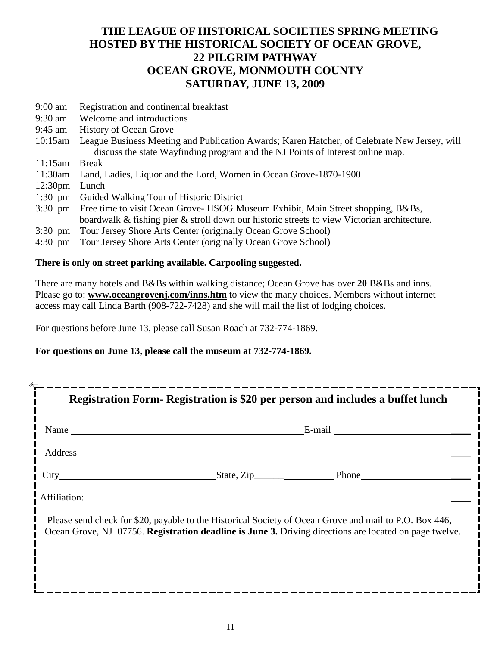#### **THE LEAGUE OF HISTORICAL SOCIETIES SPRING MEETING HOSTED BY THE HISTORICAL SOCIETY OF OCEAN GROVE, 22 PILGRIM PATHWAY OCEAN GROVE, MONMOUTH COUNTY SATURDAY, JUNE 13, 2009**

- 9:00 am Registration and continental breakfast
- 9:30 am Welcome and introductions
- 9:45 am History of Ocean Grove
- 10:15am League Business Meeting and Publication Awards; Karen Hatcher, of Celebrate New Jersey, will discuss the state Wayfinding program and the NJ Points of Interest online map.
- 11:15am Break
- 11:30am Land, Ladies, Liquor and the Lord, Women in Ocean Grove-1870-1900
- 12:30pm Lunch
- 1:30 pm Guided Walking Tour of Historic District
- 3:30 pm Free time to visit Ocean Grove- HSOG Museum Exhibit, Main Street shopping, B&Bs, boardwalk & fishing pier & stroll down our historic streets to view Victorian architecture.
- 3:30 pm Tour Jersey Shore Arts Center (originally Ocean Grove School)
- 4:30 pm Tour Jersey Shore Arts Center (originally Ocean Grove School)

#### **There is only on street parking available. Carpooling suggested.**

There are many hotels and B&Bs within walking distance; Ocean Grove has over **20** B&Bs and inns. Please go to: **www.oceangrovenj.com/inns.htm** to view the many choices. Members without internet access may call Linda Barth (908-722-7428) and she will mail the list of lodging choices.

For questions before June 13, please call Susan Roach at 732-774-1869.

**For questions on June 13, please call the museum at 732-774-1869.** 

| Registration Form-Registration is \$20 per person and includes a buffet lunch |  |                                                                                                                                                                                                                  |  |
|-------------------------------------------------------------------------------|--|------------------------------------------------------------------------------------------------------------------------------------------------------------------------------------------------------------------|--|
| Name $\qquad \qquad$                                                          |  | E-mail                                                                                                                                                                                                           |  |
| Address                                                                       |  |                                                                                                                                                                                                                  |  |
|                                                                               |  | City State, Zip Phone                                                                                                                                                                                            |  |
| Affiliation:                                                                  |  |                                                                                                                                                                                                                  |  |
|                                                                               |  | Please send check for \$20, payable to the Historical Society of Ocean Grove and mail to P.O. Box 446,<br>Ocean Grove, NJ 07756. Registration deadline is June 3. Driving directions are located on page twelve. |  |
|                                                                               |  |                                                                                                                                                                                                                  |  |